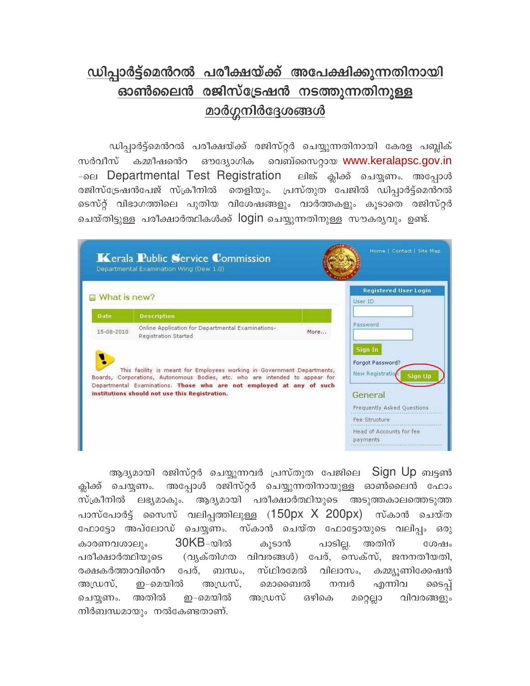## ഡിപ്പാർട്ട്മെൻറൽ പരീക്ഷയ്ക്ക് അപേക്ഷിക്കുന്നതിനായി ഓൺലൈൻ രജിസ്ട്രേഷൻ നടത്തുന്നതിനുള്ള <u>മാർഗ്ഗനിർദ്ദേശങ്ങൾ</u>

ഡിപ്പാർട്ട്മെൻറൽ പരീക്ഷയ്ക്ക് രജിസ്റ്റർ ചെയ്യുന്നതിനായി കേരള പബ്ലിക് സർവീസ് കമ്മീഷൻെറ ഔദ്യോഗിക വെബ്സൈറ്റായ www.keralapsc.gov.in -ലை Departmental Test Registration ലിങ്ക് ക്ലിക്ക് ചെയ്യണം. അപ്പോൾ രജിസ്ട്രേഷൻപേജ് സ്ക്രീനിൽ തെളിയും. പ്രസ്തുത പേജിൽ ഡിപ്പാർട്ട്മെൻറൽ ടെസ്റ്റ് വിഭാഗത്തിലെ പുതിയ വിശേഷങ്ങളും വാർത്തകളും കൂടാതെ രജിസ്റ്റർ ചെയ്തിട്ടുള്ള പരീക്ഷാർത്ഥികൾക്ക് login ചെയ്യുന്നതിനുള്ള സൗകര്യവും ഉണ്ട്.

|                                                                                                                                                                                                                                                                                   | <b>Kerala Public Service Commission</b><br>Departmental Examination Wing (Dew 1.0) | Home   Contact   Site Map                                  |
|-----------------------------------------------------------------------------------------------------------------------------------------------------------------------------------------------------------------------------------------------------------------------------------|------------------------------------------------------------------------------------|------------------------------------------------------------|
| What is new?                                                                                                                                                                                                                                                                      |                                                                                    | <b>Registered User Login</b><br>User ID                    |
| Date                                                                                                                                                                                                                                                                              | <b>Description</b>                                                                 |                                                            |
| 15-08-2010                                                                                                                                                                                                                                                                        | Online Application for Departmental Examinations-<br>More<br>Registration Started  | Password                                                   |
| This facility is meant for Employees working in Government Departments,<br>Boards, Corporations, Autonomous Bodies, etc. who are intended to appear for<br>Departmental Examinations. Those who are not employed at any of such<br>institutions should not use this Registration. |                                                                                    | Sign In<br>Forgot Password?<br>New Registration<br>Sion Un |
|                                                                                                                                                                                                                                                                                   |                                                                                    | General                                                    |
|                                                                                                                                                                                                                                                                                   |                                                                                    | Frequently Asked Questions                                 |
|                                                                                                                                                                                                                                                                                   |                                                                                    | Fee Structure                                              |
|                                                                                                                                                                                                                                                                                   |                                                                                    | Head of Accounts for fee<br>payments                       |

ആദ്യമായി രജിസ്റ്റർ ചെയ്യുന്നവർ പ്രസ്തുത പേജിലെ Sign Up ബട്ടൺ ക്ലിക്ക് ചെയ്യണം. അപ്പോൾ രജിസ്റ്റർ ചെയ്യുന്നതിനായുള്ള ഓൺലൈൻ ഫോം സ്ക്രീനിൽ ലഭ്യമാകും. ആദ്യമായി പരീക്ഷാർത്ഥിയുടെ അടുത്തകാലത്തെടുത്ത പാസ്പോർട്ട് സൈസ് വലിപ്പത്തിലുള്ള (150px X 200px) സ്കാൻ ചെയ്ത ഫോട്ടോ അപ്ലോഡ് ചെയ്യണം. സ്കാൻ ചെയ്ത ഫോട്ടോയുടെ വലിപ്പം ഒരു കാരണവശാലും 30KB-യിൽ പാടില്ല. അതിന് കൂടാൻ ശേഷം പരീക്ഷാർത്ഥിയുടെ (വൃക്തിഗത വിവരങ്ങൾ) പേര്, സെക്സ്, ജനനതീയതി, രക്ഷകർത്താവിൻെറ പേര്, ബന്ധം, സ്ഥിരമേൽ വിലാസം, കമ്മ്യൂണിക്കേഷൻ ഇ-മെയിൽ അഡ്രസ്. അഡ്രസ്, മൊബൈൽ നമ്പർ എന്നിവ ടൈപ്പ് ചെയ്യണം. അതിൽ ഇ–മെയിൽ അഡ്രസ് ഒഴികെ മറ്റെല്ലാ വിവരങ്ങളും നിർബന്ധമായും നൽകേണ്ടതാണ്.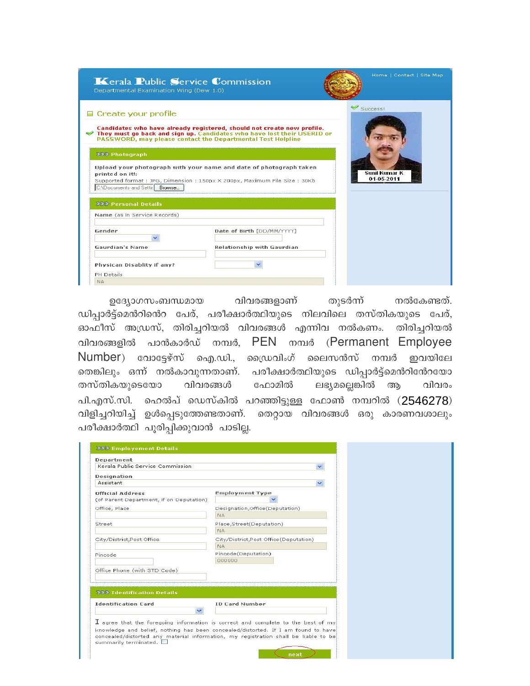| <b>Kerala Public Service Commission</b><br>Departmental Examination Wing (Dew 1.0) |                                                                                                                                                                                                                  | Home   Contact   Site Map          |
|------------------------------------------------------------------------------------|------------------------------------------------------------------------------------------------------------------------------------------------------------------------------------------------------------------|------------------------------------|
| Create your profile                                                                | Candidates who have already registered, should not create new profile.<br>They must go back and sign up. Candidates who have lost their USERID or<br>PASSWORD, may please contact the Departmental Test Helpline | Success!                           |
| 222 Photograph                                                                     |                                                                                                                                                                                                                  |                                    |
| printed on it!:<br>C:\Documents and Settir<br>Browse                               | Upload your photograph with your name and date of photograph taken<br>Supported format: JPG, Dimension: 150px X 200px, Maximum File Size: 30Kb                                                                   | <b>Sunil Kumar K</b><br>01-05-2011 |
| <b>222 Personal Details</b>                                                        |                                                                                                                                                                                                                  |                                    |
| Name (as in Service Records)                                                       |                                                                                                                                                                                                                  |                                    |
| Gender                                                                             | Date of Birth [DD/MM/YYYY]                                                                                                                                                                                       |                                    |
| Gaurdian's Name                                                                    | Relationship with Gaurdian                                                                                                                                                                                       |                                    |
| Physican Disablity if any?<br>PH Details                                           |                                                                                                                                                                                                                  |                                    |
| <b>NA</b>                                                                          |                                                                                                                                                                                                                  |                                    |

വിവരങ്ങളാണ് തുടർന്ന് ഉദ്യോഗസംബന്ധമായ നൽകേണ്ടത്. ഡിപ്പാർട്ട്മെൻറിൻെറ പേര്, പരീക്ഷാർത്ഥിയുടെ നിലവിലെ തസ്തികയുടെ പേര്, ഓഫീസ് അഡ്രസ്, തിരിച്ചറിയൽ വിവരങ്ങൾ എന്നിവ നൽകണം. തിരിച്ചറിയൽ പാൻകാർഡ് നമ്പർ, PEN നമ്പർ (Permanent Employee വിവരങ്ങളിൽ  $Number)$  വോട്ടേഴ്സ് ഐ.ഡി., ഡ്രൈവിംഗ് ലൈസൻസ് നമ്പർ ഇവയിലേ തെങ്കിലും ഒന്ന് നൽകാവുന്നതാണ്. പരീക്ഷാർത്ഥിയുടെ ഡിപ്പാർട്ട്മെൻറിൻേറയോ ലഭ്യമല്ലെങ്കിൽ തസ്തികയുടെയോ വിവരങ്ങൾ ഫോമിൽ ആ വിവരം പി.എസ്.സി. ഹെൽപ് ഡെസ്കിൽ പറഞ്ഞിട്ടുള്ള ഫോൺ നമ്പറിൽ (2546278) വിളിച്ചറിയിച്ച് ഉൾപ്പെടുത്തേണ്ടതാണ്. തെറ്റായ വിവരങ്ങൾ ഒരു കാരണവശാലും പരീക്ഷാർത്ഥി പൂരിപ്പിക്കുവാൻ പാടില്ല.

| Department                                                                                                                                                                                        |                                                    |  |
|---------------------------------------------------------------------------------------------------------------------------------------------------------------------------------------------------|----------------------------------------------------|--|
| Kerala Public Service Commission                                                                                                                                                                  |                                                    |  |
| Designation                                                                                                                                                                                       |                                                    |  |
| Assistant                                                                                                                                                                                         |                                                    |  |
| <b>Official Address</b><br>(of Parent Department, if on Deputation).                                                                                                                              | <b>Employment Type</b>                             |  |
| Office, Place                                                                                                                                                                                     | Designation, Office (Deputation)<br><b>NA</b>      |  |
| Street                                                                                                                                                                                            | Place, Street(Deputation)<br><b>NA</b>             |  |
| City/District, Post Office                                                                                                                                                                        | City/District,Post Office(Deputation)<br><b>NA</b> |  |
| Pincode                                                                                                                                                                                           | Pincode(Deputation)<br>000000                      |  |
| Office Phone (with STD Code)                                                                                                                                                                      |                                                    |  |
| 222 Identification Details                                                                                                                                                                        |                                                    |  |
| <b>Identification Card</b>                                                                                                                                                                        | <b>ID Card Number</b>                              |  |
| $\overline{\mathbf{I}}$ agree that the foregoing information is correct and complete to the best of my                                                                                            |                                                    |  |
| knowledge and belief, nothing has been concealed/distorted. If I am found to have<br>concealed/distorted any material information, my registration shall be liable to be<br>summarily terminated. |                                                    |  |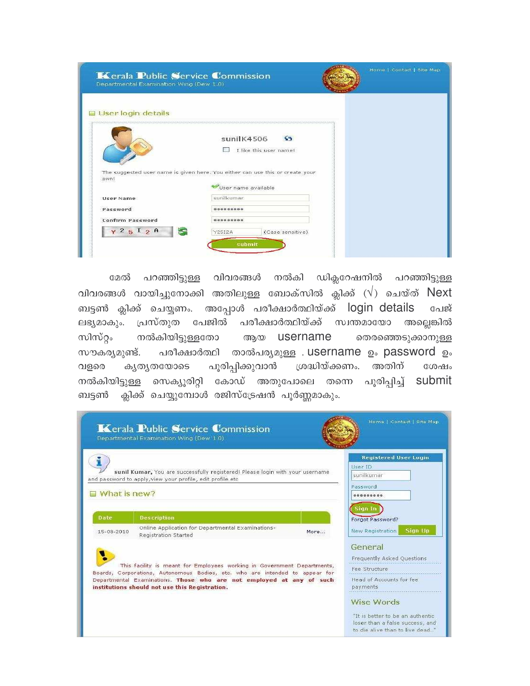| sunilK4506<br><b>SS</b><br>I like this user name!<br>The suggested user name is given here. You either can use this or create your<br>own!<br>User name available<br>sunilkumar<br>User Name<br>Password<br><b>Confirm Password</b> | Kerala Public Service Commission<br>Departmental Examination Wing (Dew 1.0) |                                   | Home   Contact   Site Map |
|-------------------------------------------------------------------------------------------------------------------------------------------------------------------------------------------------------------------------------------|-----------------------------------------------------------------------------|-----------------------------------|---------------------------|
|                                                                                                                                                                                                                                     |                                                                             |                                   |                           |
|                                                                                                                                                                                                                                     | User login details                                                          |                                   |                           |
|                                                                                                                                                                                                                                     |                                                                             |                                   |                           |
|                                                                                                                                                                                                                                     |                                                                             |                                   |                           |
|                                                                                                                                                                                                                                     |                                                                             |                                   |                           |
|                                                                                                                                                                                                                                     |                                                                             |                                   |                           |
| submit                                                                                                                                                                                                                              | $\times 2512A$                                                              | <b>Y25I2A</b><br>(Case sensitive) |                           |

പറഞ്ഞിട്ടുള്ള വിവരങ്ങൾ നൽകി ഡിക്ലറേഷനിൽ പറഞ്ഞിട്ടുള്ള മേൽ വിവരങ്ങൾ വായിച്ചുനോക്കി അതിലുള്ള ബോക്സിൽ ക്ലിക്ക്  $(\sqrt{)}$  ചെയ്ത്  $Next$ ബട്ടൺ ക്ലിക്ക് ചെയ്യണം. അപ്പോൾ പരീക്ഷാർത്ഥിയ്ക്ക് login details പേജ് ലഭ്യമാകും. പ്രസ്തുത പേജിൽ പരീക്ഷാർത്ഥിയ്ക്ക് സ്വന്തമായോ അല്ലെങ്കിൽ സിസ്റ്റം നൽകിയിട്ടുള്ളതോ ആയ username തെരഞ്ഞെടുക്കാനുള്ള പരീക്ഷാർത്ഥി താൽപര്യമുള്ള . username ഉം password ഉം സൗകര്യമുണ്ട്. പൂരിപ്പിക്കുവാൻ ശ്രദ്ധിയ്ക്കണം. അതിന് വളരെ കൃതൃതയോടെ ശേഷം നൽകിയിട്ടുള്ള സെക്യുരിറ്റി കോഡ് അതുപോലെ തന്നെ പൂരിപ്പിച്ച് submit ക്ലിക്ക് ചെയ്യുമ്പോൾ രജിസ്ട്രേഷൻ പൂർണ്ണമാകും. ബട്ടൺ